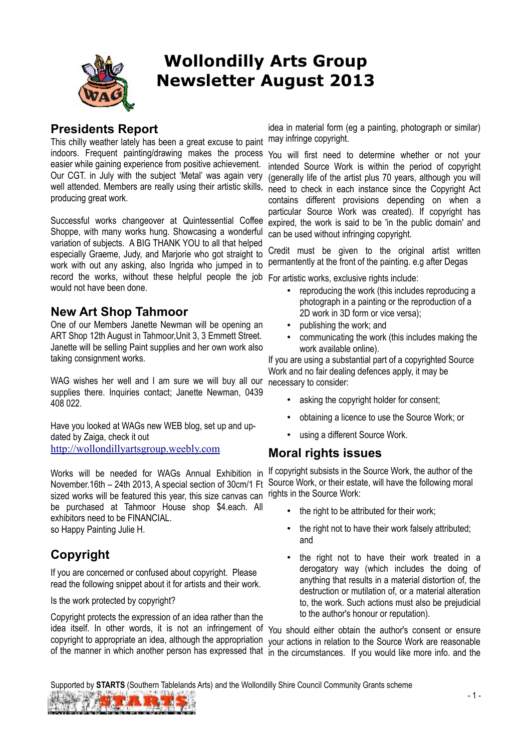

# **Wollondilly Arts Group Newsletter August 2013**

### **Presidents Report**

This chilly weather lately has been a great excuse to paint indoors. Frequent painting/drawing makes the process You will first need to determine whether or not your easier while gaining experience from positive achievement. Our CGT. in July with the subject 'Metal' was again very well attended. Members are really using their artistic skills, producing great work.

Successful works changeover at Quintessential Coffee Shoppe, with many works hung. Showcasing a wonderful variation of subjects. A BIG THANK YOU to all that helped especially Graeme, Judy, and Marjorie who got straight to work with out any asking, also Ingrida who jumped in to record the works, without these helpful people the job For artistic works, exclusive rights include: would not have been done.

#### **New Art Shop Tahmoor**

One of our Members Janette Newman will be opening an ART Shop 12th August in Tahmoor,Unit 3, 3 Emmett Street. Janette will be selling Paint supplies and her own work also taking consignment works.

WAG wishes her well and I am sure we will buy all our supplies there. Inquiries contact; Janette Newman, 0439 408 022.

Have you looked at WAGs new WEB blog, set up and updated by Zaiga, check it out http://wollondillyartsgroup.weebly.com

November.16th – 24th 2013, A special section of 30cm/1 Ft sized works will be featured this year, this size canvas can rights in the Source Work: be purchased at Tahmoor House shop \$4.each. All exhibitors need to be FINANCIAL. so Happy Painting Julie H.

# **Copyright**

If you are concerned or confused about copyright. Please read the following snippet about it for artists and their work.

Is the work protected by copyright?

Copyright protects the expression of an idea rather than the idea itself. In other words, it is not an infringement of You should either obtain the author's consent or ensure copyright to appropriate an idea, although the appropriation your actions in relation to the Source Work are reasonable

idea in material form (eg a painting, photograph or similar) may infringe copyright.

intended Source Work is within the period of copyright (generally life of the artist plus 70 years, although you will need to check in each instance since the Copyright Act contains different provisions depending on when a particular Source Work was created). If copyright has expired, the work is said to be 'in the public domain' and can be used without infringing copyright.

Credit must be given to the original artist written permantently at the front of the painting. e.g after Degas

- reproducing the work (this includes reproducing a photograph in a painting or the reproduction of a 2D work in 3D form or vice versa);
- publishing the work; and
- communicating the work (this includes making the work available online).

If you are using a substantial part of a copyrighted Source Work and no fair dealing defences apply, it may be necessary to consider:

- asking the copyright holder for consent;
- obtaining a licence to use the Source Work; or
- using a different Source Work.

### **Moral rights issues**

Works will be needed for WAGs Annual Exhibition in If copyright subsists in the Source Work, the author of the Source Work, or their estate, will have the following moral

- the right to be attributed for their work;
- the right not to have their work falsely attributed; and
- the right not to have their work treated in a derogatory way (which includes the doing of anything that results in a material distortion of, the destruction or mutilation of, or a material alteration to, the work. Such actions must also be prejudicial to the author's honour or reputation).

of the manner in which another person has expressed that in the circumstances. If you would like more info. and the

Supported by **STARTS** (Southern Tablelands Arts) and the Wollondilly Shire Council Community Grants scheme